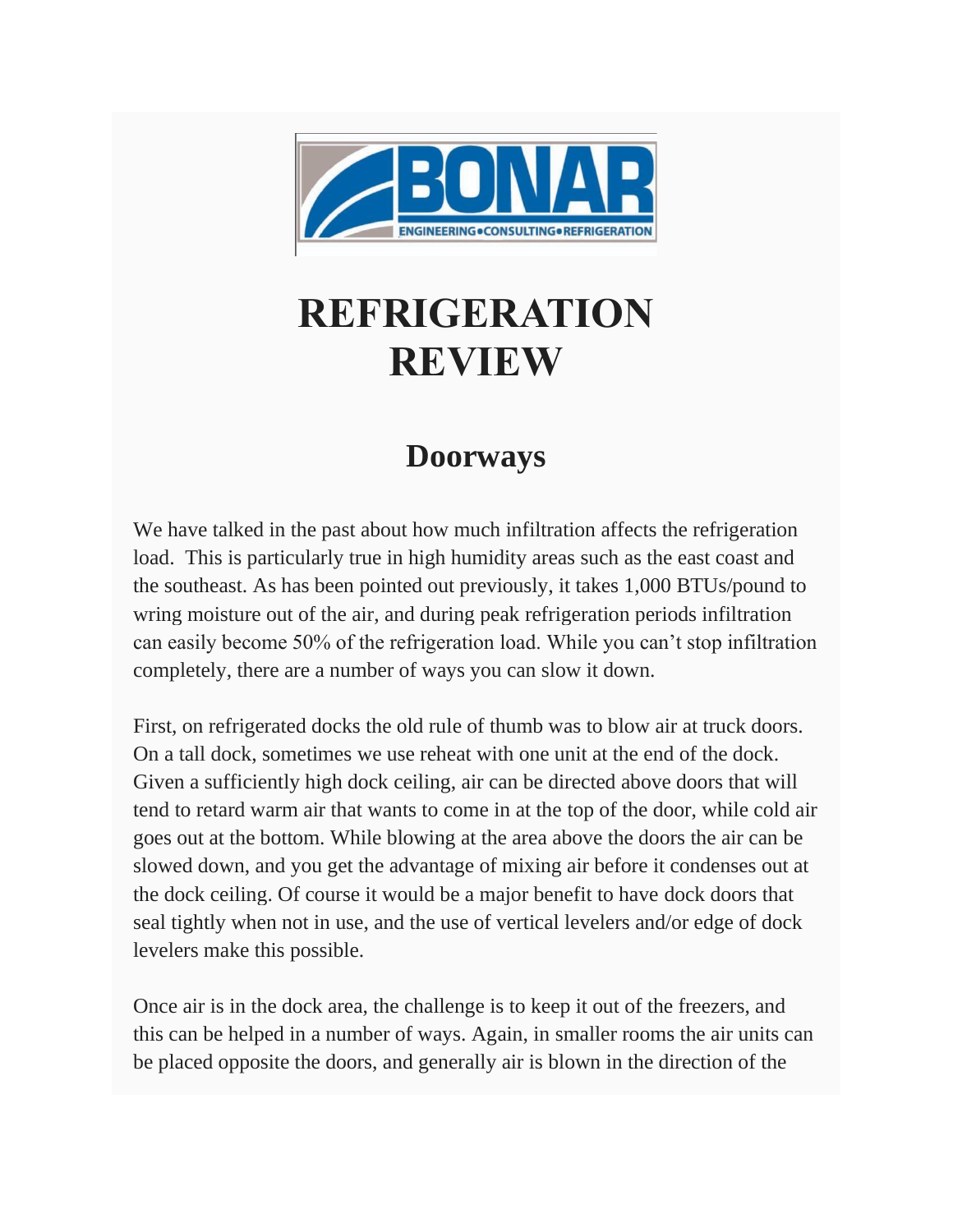

## **REFRIGERATION REVIEW**

## **Doorways**

We have talked in the past about how much infiltration affects the refrigeration load. This is particularly true in high humidity areas such as the east coast and the southeast. As has been pointed out previously, it takes 1,000 BTUs/pound to wring moisture out of the air, and during peak refrigeration periods infiltration can easily become 50% of the refrigeration load. While you can't stop infiltration completely, there are a number of ways you can slow it down.

First, on refrigerated docks the old rule of thumb was to blow air at truck doors. On a tall dock, sometimes we use reheat with one unit at the end of the dock. Given a sufficiently high dock ceiling, air can be directed above doors that will tend to retard warm air that wants to come in at the top of the door, while cold air goes out at the bottom. While blowing at the area above the doors the air can be slowed down, and you get the advantage of mixing air before it condenses out at the dock ceiling. Of course it would be a major benefit to have dock doors that seal tightly when not in use, and the use of vertical levelers and/or edge of dock levelers make this possible.

Once air is in the dock area, the challenge is to keep it out of the freezers, and this can be helped in a number of ways. Again, in smaller rooms the air units can be placed opposite the doors, and generally air is blown in the direction of the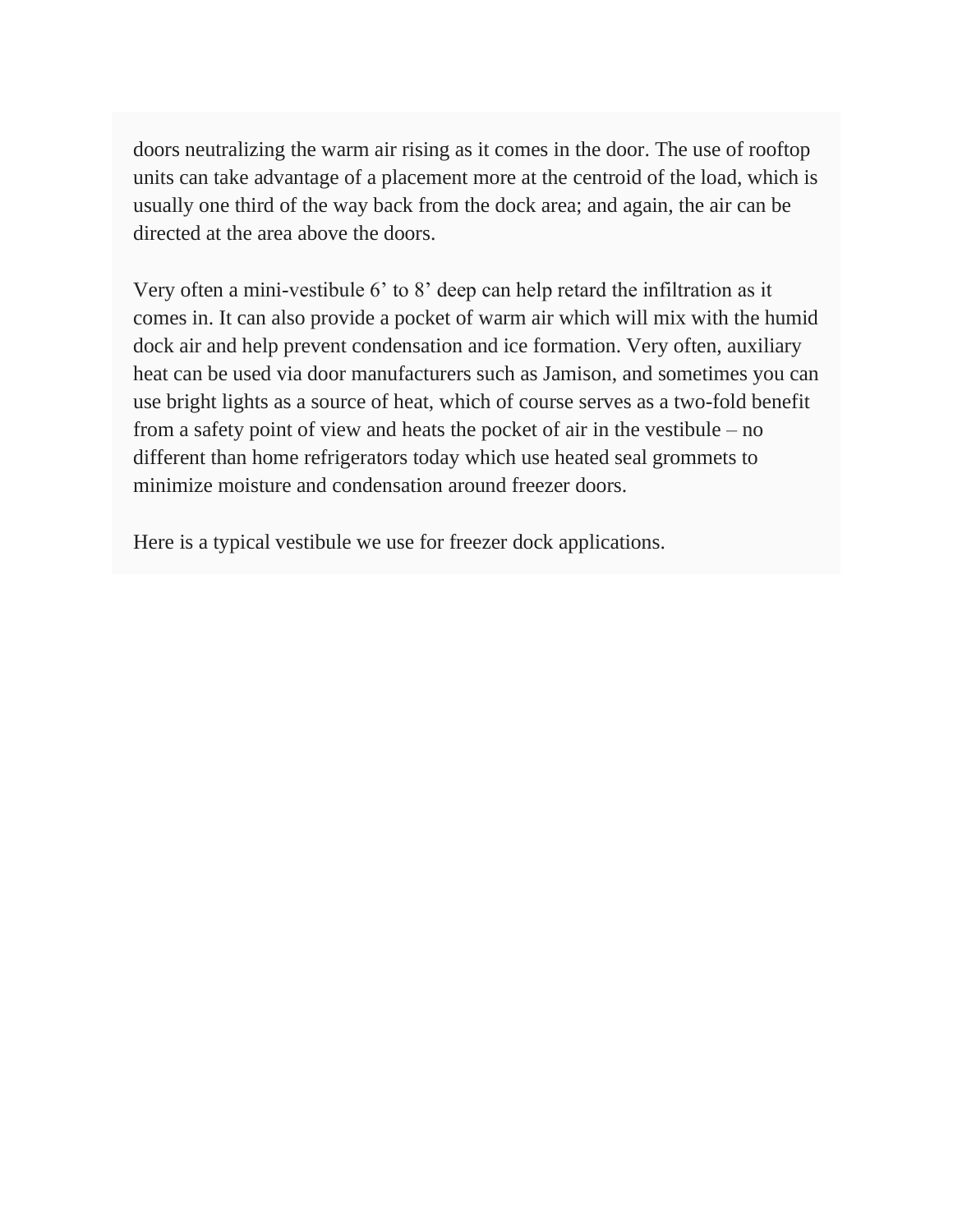doors neutralizing the warm air rising as it comes in the door. The use of rooftop units can take advantage of a placement more at the centroid of the load, which is usually one third of the way back from the dock area; and again, the air can be directed at the area above the doors.

Very often a mini-vestibule 6' to 8' deep can help retard the infiltration as it comes in. It can also provide a pocket of warm air which will mix with the humid dock air and help prevent condensation and ice formation. Very often, auxiliary heat can be used via door manufacturers such as Jamison, and sometimes you can use bright lights as a source of heat, which of course serves as a two-fold benefit from a safety point of view and heats the pocket of air in the vestibule – no different than home refrigerators today which use heated seal grommets to minimize moisture and condensation around freezer doors.

Here is a typical vestibule we use for freezer dock applications.